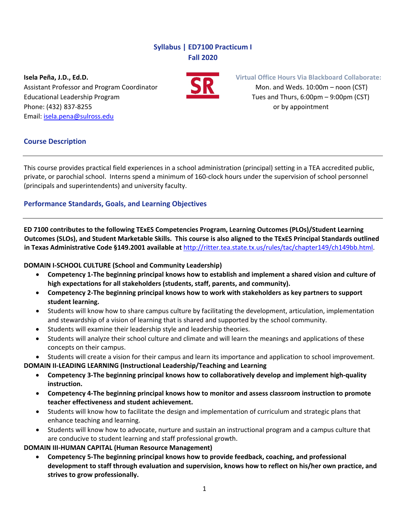# **Syllabus | ED7100 Practicum I Fall 2020**

Assistant Professor and Program Coordinator **1999 Mon. and Weds. 10:00m** – noon (CST) Educational Leadership Program Tues and Thurs, 6:00pm – 9:00pm (CST) Phone: (432) 837‐8255 or by appointment Email: isela.pena@sulross.edu



**Isela Peña, J.D., Ed.D. Virtual Office Hours Via Blackboard Collaborate:**

### **Course Description**

This course provides practical field experiences in a school administration (principal) setting in a TEA accredited public, private, or parochial school. Interns spend a minimum of 160‐clock hours under the supervision of school personnel (principals and superintendents) and university faculty.

# **Performance Standards, Goals, and Learning Objectives**

**ED 7100 contributes to the following TExES Competencies Program, Learning Outcomes (PLOs)/Student Learning** Outcomes (SLOs), and Student Marketable Skills. This course is also aligned to the TExES Principal Standards outlined **in Texas Administrative Code §149.2001 available at** http://ritter.tea.state.tx.us/rules/tac/chapter149/ch149bb.html.

### **DOMAIN I‐SCHOOL CULTURE (School and Community Leadership)**

- Competency 1-The beginning principal knows how to establish and implement a shared vision and culture of **high expectations for all stakeholders (students, staff, parents, and community).**
- **Competency 2‐The beginning principal knows how to work with stakeholders as key partners to support student learning.**
- Students will know how to share campus culture by facilitating the development, articulation, implementation and stewardship of a vision of learning that is shared and supported by the school community.
- Students will examine their leadership style and leadership theories.
- Students will analyze their school culture and climate and will learn the meanings and applications of these concepts on their campus.
- Students will create a vision for their campus and learn its importance and application to school improvement.

**DOMAIN II‐LEADING LEARNING (Instructional Leadership/Teaching and Learning**

- **Competency 3‐The beginning principal knows how to collaboratively develop and implement high‐quality instruction.**
- **Competency 4‐The beginning principal knows how to monitor and assess classroom instruction to promote teacher effectiveness and student achievement.**
- Students will know how to facilitate the design and implementation of curriculum and strategic plans that enhance teaching and learning.
- Students will know how to advocate, nurture and sustain an instructional program and a campus culture that are conducive to student learning and staff professional growth.

**DOMAIN III‐HUMAN CAPITAL (Human Resource Management)**

 **Competency 5‐The beginning principal knows how to provide feedback, coaching, and professional development to staff through evaluation and supervision, knows how to reflect on his/her own practice, and strives to grow professionally.**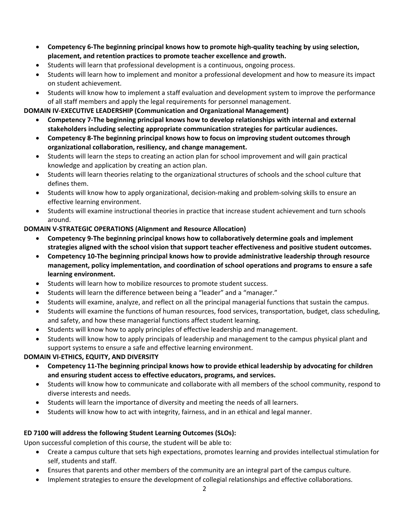- **Competency 6‐The beginning principal knows how to promote high‐quality teaching by using selection, placement, and retention practices to promote teacher excellence and growth.**
- Students will learn that professional development is a continuous, ongoing process.
- Students will learn how to implement and monitor a professional development and how to measure its impact on student achievement.
- Students will know how to implement a staff evaluation and development system to improve the performance of all staff members and apply the legal requirements for personnel management.

## **DOMAIN IV‐EXECUTIVE LEADERSHIP (Communication and Organizational Management)**

- **Competency 7‐The beginning principal knows how to develop relationships with internal and external stakeholders including selecting appropriate communication strategies for particular audiences.**
- **Competency 8‐The beginning principal knows how to focus on improving student outcomes through organizational collaboration, resiliency, and change management.**
- Students will learn the steps to creating an action plan for school improvement and will gain practical knowledge and application by creating an action plan.
- Students will learn theories relating to the organizational structures of schools and the school culture that defines them.
- Students will know how to apply organizational, decision-making and problem-solving skills to ensure an effective learning environment.
- Students will examine instructional theories in practice that increase student achievement and turn schools around.

# **DOMAIN V‐STRATEGIC OPERATIONS (Alignment and Resource Allocation)**

- **Competency 9‐The beginning principal knows how to collaboratively determine goals and implement strategies aligned with the school vision that support teacher effectiveness and positive student outcomes.**
- **Competency 10‐The beginning principal knows how to provide administrative leadership through resource management, policy implementation, and coordination of school operations and programs to ensure a safe learning environment.**
- Students will learn how to mobilize resources to promote student success.
- Students will learn the difference between being a "leader" and a "manager."
- Students will examine, analyze, and reflect on all the principal managerial functions that sustain the campus.
- Students will examine the functions of human resources, food services, transportation, budget, class scheduling, and safety, and how these managerial functions affect student learning.
- Students will know how to apply principles of effective leadership and management.
- Students will know how to apply principals of leadership and management to the campus physical plant and support systems to ensure a safe and effective learning environment.

### **DOMAIN VI‐ETHICS, EQUITY, AND DIVERSITY**

- **Competency 11‐The beginning principal knows how to provide ethical leadership by advocating for children and ensuring student access to effective educators, programs, and services.**
- Students will know how to communicate and collaborate with all members of the school community, respond to diverse interests and needs.
- Students will learn the importance of diversity and meeting the needs of all learners.
- Students will know how to act with integrity, fairness, and in an ethical and legal manner.

### **ED 7100 will address the following Student Learning Outcomes (SLOs):**

Upon successful completion of this course, the student will be able to:

- Create a campus culture that sets high expectations, promotes learning and provides intellectual stimulation for self, students and staff.
- Ensures that parents and other members of the community are an integral part of the campus culture.
- Implement strategies to ensure the development of collegial relationships and effective collaborations.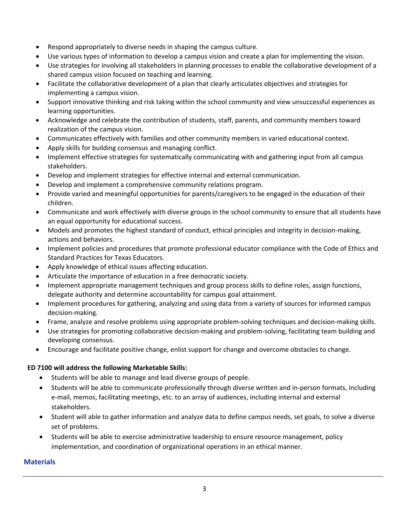- Respond appropriately to diverse needs in shaping the campus culture.
- Use various types of information to develop a campus vision and create a plan for implementing the vision.
- Use strategies for involving all stakeholders in planning processes to enable the collaborative development of a shared campus vision focused on teaching and learning.
- Facilitate the collaborative development of a plan that clearly articulates objectives and strategies for implementing a campus vision.
- Support innovative thinking and risk taking within the school community and view unsuccessful experiences as learning opportunities.
- Acknowledge and celebrate the contribution of students, staff, parents, and community members toward realization of the campus vision.
- Communicates effectively with families and other community members in varied educational context.
- Apply skills for building consensus and managing conflict.
- Implement effective strategies for systematically communicating with and gathering input from all campus stakeholders.
- Develop and implement strategies for effective internal and external communication.
- Develop and implement a comprehensive community relations program.
- Provide varied and meaningful opportunities for parents/caregivers to be engaged in the education of their children.
- Communicate and work effectively with diverse groups in the school community to ensure that all students have an equal opportunity for educational success.
- Models and promotes the highest standard of conduct, ethical principles and integrity in decision-making, actions and behaviors.
- Implement policies and procedures that promote professional educator compliance with the Code of Ethics and Standard Practices for Texas Educators.
- Apply knowledge of ethical issues affecting education.
- Articulate the importance of education in a free democratic society.
- Implement appropriate management techniques and group process skills to define roles, assign functions, delegate authority and determine accountability for campus goal attainment.
- Implement procedures for gathering, analyzing and using data from a variety of sources for informed campus decision‐making.
- Frame, analyze and resolve problems using appropriate problem‐solving techniques and decision‐making skills.
- Use strategies for promoting collaborative decision‐making and problem‐solving, facilitating team building and developing consensus.
- Encourage and facilitate positive change, enlist support for change and overcome obstacles to change.

### **ED 7100 will address the following Marketable Skills:**

- Students will be able to manage and lead diverse groups of people.
- Students will be able to communicate professionally through diverse written and in-person formats, including e‐mail, memos, facilitating meetings, etc. to an array of audiences, including internal and external stakeholders.
- Student will able to gather information and analyze data to define campus needs, set goals, to solve a diverse set of problems.
- Students will be able to exercise administrative leadership to ensure resource management, policy implementation, and coordination of organizational operations in an ethical manner.

### **Materials**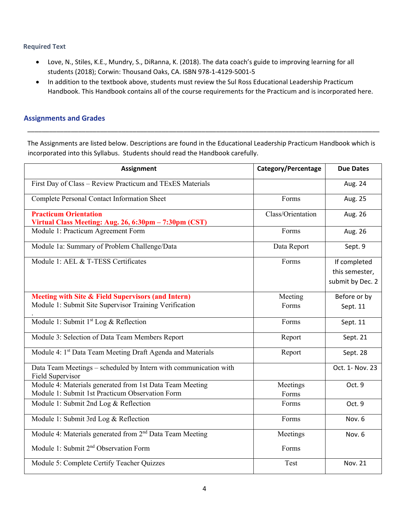#### **Required Text**

- Love, N., Stiles, K.E., Mundry, S., DiRanna, K. (2018). The data coach's guide to improving learning for all students (2018); Corwin: Thousand Oaks, CA. ISBN 978‐1‐4129‐5001‐5
- In addition to the textbook above, students must review the Sul Ross Educational Leadership Practicum Handbook. This Handbook contains all of the course requirements for the Practicum and is incorporated here.

### **Assignments and Grades**

The Assignments are listed below. Descriptions are found in the Educational Leadership Practicum Handbook which is incorporated into this Syllabus. Students should read the Handbook carefully.

\_\_\_\_\_\_\_\_\_\_\_\_\_\_\_\_\_\_\_\_\_\_\_\_\_\_\_\_\_\_\_\_\_\_\_\_\_\_\_\_\_\_\_\_\_\_\_\_\_\_\_\_\_\_\_\_\_\_\_\_\_\_\_\_\_\_\_\_\_\_\_\_\_\_\_\_\_\_\_\_\_\_\_\_\_\_\_\_\_\_\_\_\_\_\_\_\_

| <b>Assignment</b>                                                                     | <b>Category/Percentage</b> | <b>Due Dates</b> |
|---------------------------------------------------------------------------------------|----------------------------|------------------|
| First Day of Class - Review Practicum and TExES Materials                             |                            | Aug. 24          |
| Complete Personal Contact Information Sheet                                           | Forms                      | Aug. 25          |
| <b>Practicum Orientation</b><br>Virtual Class Meeting: Aug. 26, 6:30pm - 7:30pm (CST) | Class/Orientation          | Aug. 26          |
| Module 1: Practicum Agreement Form                                                    | Forms                      | Aug. 26          |
| Module 1a: Summary of Problem Challenge/Data                                          | Data Report                | Sept. 9          |
| Module 1: AEL & T-TESS Certificates                                                   | Forms                      | If completed     |
|                                                                                       |                            | this semester,   |
|                                                                                       |                            | submit by Dec. 2 |
| Meeting with Site & Field Supervisors (and Intern)                                    | Meeting                    | Before or by     |
| Module 1: Submit Site Supervisor Training Verification                                | Forms                      | Sept. 11         |
| Module 1: Submit 1 <sup>st</sup> Log & Reflection                                     | Forms                      | Sept. 11         |
| Module 3: Selection of Data Team Members Report                                       | Report                     | Sept. 21         |
| Module 4: 1 <sup>st</sup> Data Team Meeting Draft Agenda and Materials                | Report                     | Sept. 28         |
| Data Team Meetings - scheduled by Intern with communication with<br>Field Supervisor  |                            | Oct. 1- Nov. 23  |
| Module 4: Materials generated from 1st Data Team Meeting                              | Meetings                   | Oct. 9           |
| Module 1: Submit 1st Practicum Observation Form                                       | Forms                      |                  |
| Module 1: Submit 2nd Log & Reflection                                                 | Forms                      | Oct. 9           |
| Module 1: Submit 3rd Log & Reflection                                                 | Forms                      | Nov. 6           |
| Module 4: Materials generated from 2 <sup>nd</sup> Data Team Meeting                  | Meetings                   | Nov. 6           |
| Module 1: Submit 2 <sup>nd</sup> Observation Form                                     | Forms                      |                  |
| Module 5: Complete Certify Teacher Quizzes                                            | Test                       | <b>Nov. 21</b>   |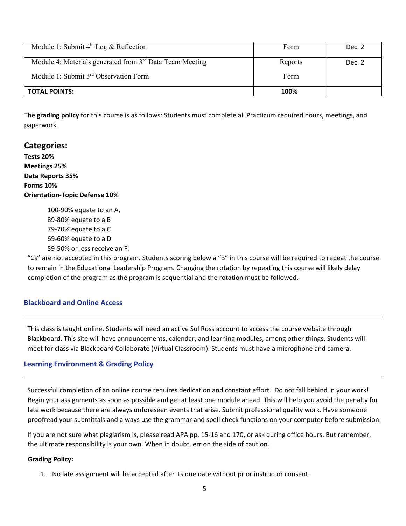| Module 1: Submit $4^{th}$ Log & Reflection                           | Form    | Dec. 2 |
|----------------------------------------------------------------------|---------|--------|
| Module 4: Materials generated from 3 <sup>rd</sup> Data Team Meeting | Reports | Dec. 2 |
| Module 1: Submit 3 <sup>rd</sup> Observation Form                    | Form    |        |
| <b>TOTAL POINTS:</b>                                                 | 100%    |        |

The **grading policy** for this course is as follows: Students must complete all Practicum required hours, meetings, and paperwork.

### **Categories:**

**Tests 20% Meetings 25% Data Reports 35% Forms 10% Orientation‐Topic Defense 10%**

> ‐90% equate to an A, ‐80% equate to a B ‐70% equate to a C ‐60% equate to a D ‐50% or less receive an F.

"Cs" are not accepted in this program. Students scoring below a "B" in this course will be required to repeat the course to remain in the Educational Leadership Program. Changing the rotation by repeating this course will likely delay completion of the program as the program is sequential and the rotation must be followed.

### **Blackboard and Online Access**

This class is taught online. Students will need an active Sul Ross account to access the course website through Blackboard. This site will have announcements, calendar, and learning modules, among other things. Students will meet for class via Blackboard Collaborate (Virtual Classroom). Students must have a microphone and camera.

#### **Learning Environment & Grading Policy**

Successful completion of an online course requires dedication and constant effort. Do not fall behind in your work! Begin your assignments as soon as possible and get at least one module ahead. This will help you avoid the penalty for late work because there are always unforeseen events that arise. Submit professional quality work. Have someone proofread your submittals and always use the grammar and spell check functions on your computer before submission.

If you are not sure what plagiarism is, please read APA pp. 15‐16 and 170, or ask during office hours. But remember, the ultimate responsibility is your own. When in doubt, err on the side of caution.

#### **Grading Policy:**

1. No late assignment will be accepted after its due date without prior instructor consent.